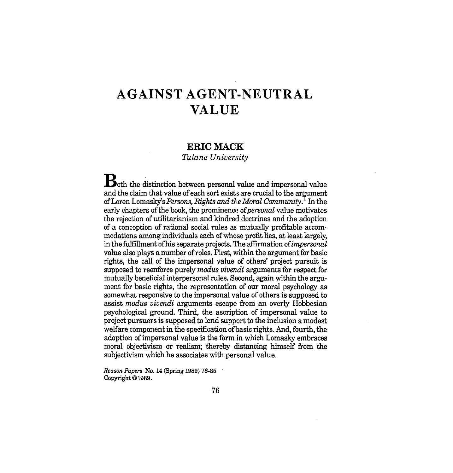# **AGAINST AGENT-NEUTRAL VALUE**

## **ERIC MACK**

 $Tulane$  *University* 

 $B_{\text{oth}}$  the distinction between personal value and impersonal value and the claim that value of each sort exists are crucial to the argument of Loren Lomasky's Persons, Rights and the Moral Community.<sup>1</sup> In the early chapters of the book, the prominence of *personal* value motivates the rejection of utilitarianism and kindred doctrines and the adoption of a conception of rational social rules as mutually profitable accommodations among individuals each of whose profit lies, at least largely, in the fulfillment of his separate projects. The affirmation of *impersonal* value also plays a number of roles. First, within the argument for basic rights, the call of the impersonal value of others' project pursuit is supposed to reenforce purely *modus vivendi* arguments for respect for mutually beneficial interpersonal rules. Second, again within the **argu**ment for basic rights, the representation of our moral psychology as somewhat responsive to the impersonal value of others is supposed to assist modus vivendi arguments escape from an overly Hobbesian psychological ground. Third, the ascription of impersonal value to project pursuers is supposed to lend support to the inclusion a modest welfare component in the specification of basic rights. **And,** fourth, the adoption of impersonal value is the form in which Lomasky embraces moral objectivism or realism; thereby distancing himself from the subjectivism which he associates with personal value.

*Reason Papers* **No. 14 (Spring 1989) 76-86**  Copyright 0 **1989.**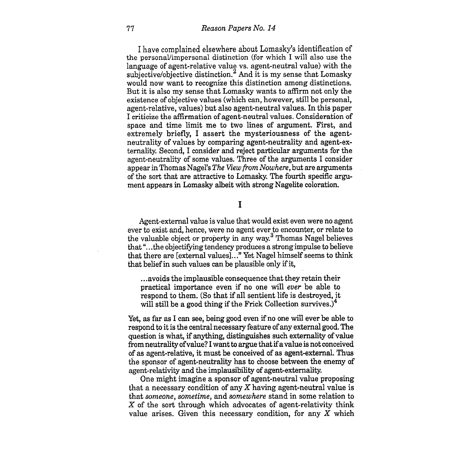I have complained elsewhere about Lomasky's identification of the personaVimpersona1 distinction (for which I will also use the language of agent-relative value vs. agent-neutral value) with the subjective/objective distinction.<sup>2</sup> And it is my sense that Lomasky would now want to recognize this distinction among distinctions. But it is also my sense that Lomasky wants to affirm not only the existence of objective values (which can, however, still be personal, agent-relative, values) but also agent-neutral values. In this paper I criticize the affirmation of agent-neutral values. Consideration of space and time limit me to two lines of argument. First, and extremely briefly, I assert the mysteriousness of the agentneutrality of values by comparing agent-neutrality and agent-externality. Second, I consider and reject particular arguments for the agent-neutrality of some values. Three of the arguments I consider appear in Thomas Nagel's The View from Nowhere, but are arguments of the sort that are attractive to Lomasky The fourth specific argument appears in Lomasky albeit with strong Nagelite coloration.

## T

Agent-external value is value that would exist even were no agent ever to exist and, hence, were no agent ever **to** encounter, or relate to the valuable object or property in any way.<sup>3</sup> Thomas Nagel believes that "...the objectifying tendency produces a strong impulse to believe that there are [external vahesl.. ." Yet Nagel himself seems to **think**  that belief in such values can be plausible only **if** it,

... avoids the implausible consequence that they retain their practical importance even if no one will ever be able to respond to them. (So that if all sentient life is destroyed, it will still be a good thing if the Frick Collection survives.) $<sup>4</sup>$ </sup>

Yet, as far as I can see, being good even if no one will ever be able to respond to it is the central necessary feature of any external good. The question is what, if anything, distinguishes such externality of value from neutrality ofvalue? I want to argue that ifavalue is not conceived of as agent-relative, it must be conceived of as agent-external. Thus the sponsor of agent-neutrality has to choose between the enemy of agent-relativity and the implausibility of agent-externality.

One might imagine a sponsor of agent-neutral value proposing that a necessary condition of any  $X$  having agent-neutral value is that someone, sometime, and somewhere stand in some relation to  $X$  of the sort through which advocates of agent-relativity think value arises. Given this necessary condition, for any  $\overline{X}$  which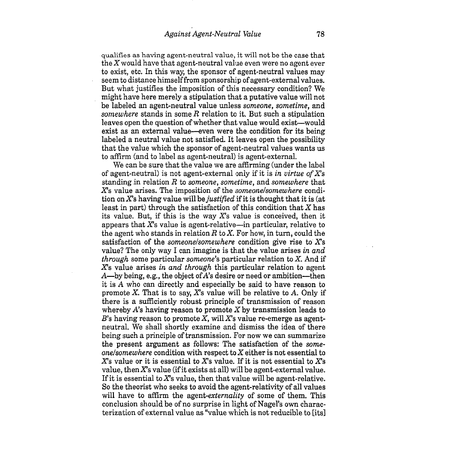**qualifies** as having agent-neutral value, it will **not** be the case that the  $X$  would have that agent-neutral value even were no agent ever to exist, etc. In this way, the sponsor of agent-neutral values may seem to distance himselffrom sponsorship of agent-external values. But what justifies the imposition of this necessary condition? We might have here merely a stipulation that a putative value will not be labeled an agent-neutral value unless someone, sometime, and somewhere stands in some  $R$  relation to it. But such a stipulation leaves open the question of whether that value would exist-would exist as an external value-even were the condition for its being labeled a neutral value not satisfied. It leaves open the possibility that the value which the sponsor of agent-neutral values wants us to affirm (and to label as agent-neutral) is agent-external.

We can be sure that the value we are affirming (under the label of agent-neutral) is not agent-external only if it is in virtue of  $X$ 's standing in relation  $R$  to someone, sometime, and somewhere that  $X$ 's value arises. The imposition of the *someone/somewhere* condition on  $X$ 's having value will be *justified* if it is thought that it is (at least in part) through the satisfaction of this condition that  $X$  has its value. But, if this is the way  $X$ 's value is conceived, then it appears that  $X$ 's value is agent-relative—in particular, relative to the agent who stands in relation  $R$  to  $X$ . For how, in turn, could the satisfaction of the someone/somewhere condition give rise to  $X$ 's value? The only way I can imagine is that the value arises in and through some particular someone's particular relation to  $X$ . And if  $X$ 's value arises in and through this particular relation to agent A-by being, e.g., the object of A's desire or need or ambition-then it is **A** who can directly and especially be said to have reason to promote X. That is to say, X's value will be relative to **A.** Only if there is a sufficiently robust principle of transmission of reason whereby  $A$ 's having reason to promote  $X$  by transmission leads to B's having reason to promote X, will  $X$ 's value re-emerge as agentneutral. We shall shortly examine and dismiss the idea of there being such a principle of transmission. For now we can summarize the present argument as follows: The satisfaction of the some*onelsomewhere condition with respect to X either is not essential to* X's value or it is essential to X's value. If it is not essential to  $X$ 's value, then  $X$ 's value (if it exists at all) will be agent-external value. If it is essential to  $X$ 's value, then that value will be agent-relative. So the theorist who seeks to avoid the agent-relativity of all values will have to affirm the agent-externality of some of them. This conclusion should be of no surprise in light of Nagel's own characterization of external value as "value which is not reducible to [its]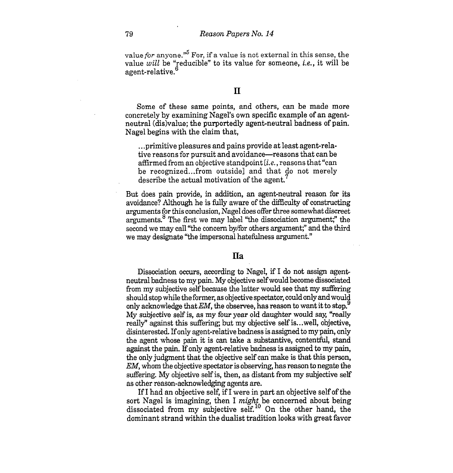.<br>ส. value **for** anyone."" For, if a value is not external in this sense, the value will be "reducible" to its value for someone, *i.e.*, it will be agent-relative.<sup>6</sup>

#### $\mathbf I$

Some of these same points, and others, can be made more concretely by examining Nagel's own specific example of an agentneutral (dis)value; the purportedly agent-neutral badness of pain. Nagel begins with the claim that,

...p rimitive pleasures and pains provide at least agent-relative reasons for pursuit and avoidance-reasons that can be affirmed from an objective standpoint [ $i.e.$ , reasons that "can be recognized ... from outside] and that do not merely describe the actual motivation of the agent.<sup>7</sup>

But does pain provide, in addition, an agent-neutral reason for its avoidance? Although he is fully aware of the difficulty of constructing arguments for this conclusion, Nagel does offer three somewhat discreet arguments.<sup>8</sup> The first we may label "the dissociation argument;" the second we may call "the concern byjfor others argument;" and the third we **may** designate "the impersonal hatefulness argument."

## **IIa**

Dissociation occurs, according to Nagel, if I do not assign agentneutral badness to my pain. My objective selfwould become dissociated from my subjective self because the latter would see that my suffering should stop while the former, as objective spectator, could only and would only acknowledge that  $EM$ , the observee, has reason to want it to stop.<sup>9</sup> My subjective self is, as my four year old daughter would say, **"really**  really" against this suffering, but my objective self is.. .well, objective, disinterested. If only agent-relative badness is assigned to my pain, only the agent whose pain it is can take a substantive, contentful, stand against the pain. If only agent-relative badness is assigned to my pain, the only judgment that the objective self can make is that this person, EM, whom the objective spectator is observing, has reason to negate the suffering. My objective self is, then, as distant from my subjective self as other reason-acknowledging agents are.

If I had an objective self, if I were in part an objective self of the sort Nagel is imagining, then I *might* be concerned about being dissociated from my subjective self.<sup>10</sup> On the other hand, the dominant strand within the dualist tradition looks with great favor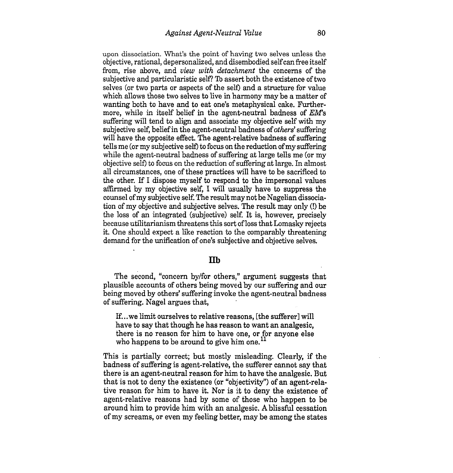upon dissociation. What's the point of having two selves unless the objective, rational, depersonalized, and diisembodied self can free itself from, rise above, and *view with detachment* the concerns of the subjective and particularistic self? **To** assert both the existence of two selves (or two parts or aspects of the self) and a structure for value which allows those two selves to live in harmony may be a matter of wanting both to have and to eat one's metaphysical cake. Furthermore, while in itself belief in the agent-neutral badness of EM's suffering will tend to align and associate my objective self with my subjective self, belief in the agent-neutral badness of *others'* suffering will have the opposite effect. The agent-relative badness of suffering tells me (or my subjective self) to focus on the reduction of my suffering while the agent-neutral badness of suffering at large tells me (or my objective self) to focus on the reduction of suffering at large. In almost all circumstances, one of these practices will have to be sacrificed to the other. If I dispose myself to respond to the impersonal values affirmed by my objective self, I will usually have to suppress the counsel of my subjective self. The result may not be Nagelian dissociation of my objective and subjective selves. The result may only (!) be the loss of an integrated (subjective) self. It is, however, precisely because utilitarianism threatens this sort of loss that Lomasky rejects it. One should expect a like reaction **to** the comparably threatening demand for the unification of one's subjective and objective selves.

#### **T**h

The second, "concern bylfor others," argument suggests that plausible accounts of others being moved by our suffering and our being moved by others' suffering invoke the agent-neutral badness of suffering. Nagel argues that,

If...we limit ourselves to relative reasons, [the sufferer] will have to say that though he has reason to want an analgesic. there is no reason for him to have one, or for anyone else who happens to be around to give him one.<sup>11</sup>

This is partially correct; but mostly misleading. Clearly, if the badness of suffering is agent-relative, the sufferer cannot say that there is an agent-neutral reason for him to have the analgesic. But that is not to deny the existence (or "objectivity") of an agent-relative reason for him to have it. Nor is it to deny the existence of agent-relative reasons had by some of those who happen to be around him to provide him with an analgesic. A blissful cessation of my screams, or even my feeling better, may be among the states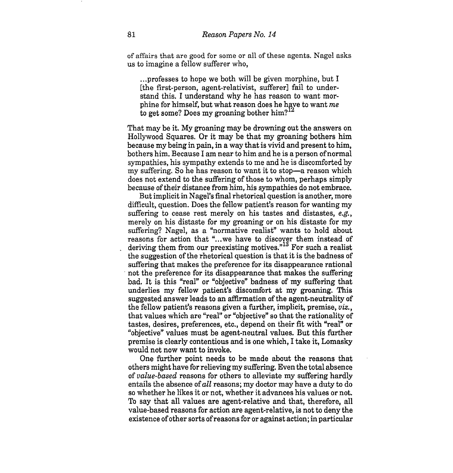of affairs that are good for some or all of these agents. Nagel asks us to imagine a fellow sufferer who,

...p rofesses to hope we both will be given morphine, but I [the first-person, agent-relativist, sufferer] fail to understand this. I understand why he has reason to want morphine for himself, but what reason does he have to want me to get some? Does my groaning bother  $\text{him?}^1$ 

That may be it. My groaning may be drowning out the answers on Hollywood Squares. OF it may be that my groaning bothers him because my being in pain, in a way that is vivid and present to him, bothers him. Because I am near to him and he is a person ofnormal sympathies, his sympathy extends to me and he is discomforted by my suffering. So he has reason to want it to stop-a reason which does not extend to the suffering of those to whom, perhaps simply because of their distance from-him, his sympathies do not embrace.

But implicit in Nagel's final rhetorical question is another, more difficult, question. Does the fellow patient's reason for wanting my suffering to cease rest merely on his tastes and distastes, *e.g.,*  merely on his distaste for my groaning or on his distaste for my suffering? Nagel, as a "normative realist" wants to hold about reasons for action that "...we have to discover them instead of deriving them from our preexisting motives.<sup> $13$ </sup> For such a realist the suggestion of the rhetorical question is that it is the badness of suffering that makes the preference for its disappearance rational not the preference for its disappearance that makes the suffering bad. It is this "real" or "objective" badness of my suffering that underlies my fellow patient's discomfort at my groaning. This suggested answer leads to an affirmation of the agent-neutrality of the fellow patient's reasons given a further, implicit, premise, viz., that values which are "real" or "objective" so that the rationality of tastes, desires, preferences, etc., depend on their fit with "real" or "objective" values must be agent-neutral values. But this further premise is clearly contentious and is one which, I take it, Lomasky would not now want to invoke.

One further point needs to be made about the reasons that others might have for relievingmy suffering. Even the total absence of *value-based* reasons for others to alleviate my suffering hardly entails the absence of *all* reasons; my doctor may have a duty to do so whether he likes it or not, whether it advances his values or not. To say that all values are agent-relative and that, therefore, all value-based reasons for action are agent-relative, is not to deny the existence of other sorts of reasons for or against action; in particular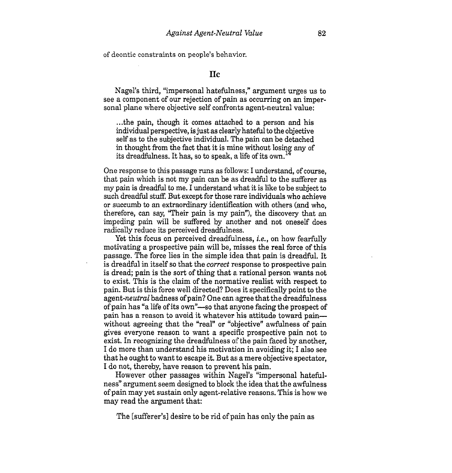of deontic constraints on people's behavior.

**Hc** 

Nagel's third, "impersonal hatefulness," argument urges us to see a component of our rejection of pain as occurring on an impersonal plane where objective self confronts agent-neutral value:

... the pain, though it comes attached to a person and his individual perspective, is just as clearily hateful to the objective self as to the subjective individual. The pain can be detached in thought from the fact that it is mine without losing any of its dreadfulness. It has, so to speak, a life of its own.  $^{14}$ 

One response to this passage runs as follows: I understand, of course, that pain which is not my pain can be as dreadful to the sufferer as my pain is dreadful to me. I understand vvhat it is like to be subject to such dreadful stuff. But except for those rare individuals who achieve or succumb to an extraordinary identification with others (and who, therefore, can say, 'Their pain is my pain'?, the discovery that an impeding pain will be suffered by another and not oneself does radically reduce its perceived dreadfulness.

Yet this focus on perceived dreadfulness, *i.e.*, on how fearfully motivating a prospective pain will be, misses the real force of this passage. The force lies in the simple idea that pain is dreadful. It is dreadful in itself so that the *correct* response to prospective pain is dread; pain is the sort of thing that a. rational person wants not to exist. This is the claim of the normative realist with respect to pain. But is this force well directed? Does it specifically point to the agent-neutral badness of pain? One can agree that the dreadfulness of pain has "a life of its own"—so that anyone facing the prospect of pain has a reason to avoid it whatever his attitude toward painwithout agreeing that the "real" or "objective" awfulness of pain gives everyone reason to want a specific prospective pain not to exist. In recognizing the dreadfulness of the pain faced by another, I do more than understand his motivation in avoiding it; I also see that he ought to want to escape it. But as a mere objective spectator, I do not, thereby, have reason to prevent his pain.

However other passages within Nagel's "impersonal hatefulness" argument seem designed to block the idea that the awfulness of pain may yet sustain only agent-relative reasons. This is how we may read the argument that:

The [sufferer's] desire to be rid of pain has only the pain as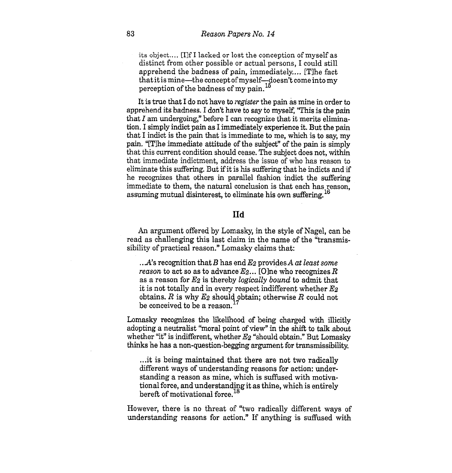its object.... [I]f I lacked or lost the conception of myself as distinct from other possible or actual persons, I could still apprehend the badness of pain, immediately. ... [Tlhe fact that it is mine-the concept of myself-doesn't come into my perception of the badness of my pain.<sup>15</sup>

It is true that I do not have to *register* the pain as mine in order **to**  apprehend its badness. I don't have to say to myself, 'This is the pain that *I* am undergoing," before I can recognize that it merits elimination. I simply indict pain as I immediately experience it. But the pain that I indict is the pain that is immediate to me, which is to say, my pain. ''Trlhe immediate attitude of the subject" of the **pain** is simply that this current condition should cease. The subject does not, within that immediate indictment, address the issue of who has reason to eliminate this suffering. But if it is his suffering that he indicts and if he recognizes that others in parallel fashion indict the suffering immediate to them, the natural conclusion is that each has reason, assuming mutual disinterest, to eliminate his own suffering.<sup>16</sup>

## $$

An argument offered by Lomasky, in the style of Nagel, can be read as challenging this last claim in the name of the "transmissibility of practical reason." Lomasky claims that:

..Ass recognition that B has end E2 provides A *at least some reason* to act so as to advance  $E_2$ ... [O]ne who recognizes R as a reason for E2 is thereby *logically* bound to admit that it is not totally and in every respect indifferent whether  $E_2$ obtains.  $R$  is why  $E_2$  should obtain; otherwise  $R$  could not be conceived to be a reason.  $17$ 

Lomasky recognizes the likelihood of being charged **with** illicitly adopting a neutralist "moral point of view" in the shift to talk about whether "it" is indifferent, whether E2 "should obtain." But Lomasky thinks he has a non-question-begging argument for transmissibility.

... it is being maintained that there are not two radically different ways of understanding reasons for action: understanding a reason as mine, which is suffused with motivational force, and understanding it as thine, which is entirely bereft of motivational force.<sup>18</sup>

However, there is no threat of "two radically different ways of understanding reasons for action." If anything is suffised with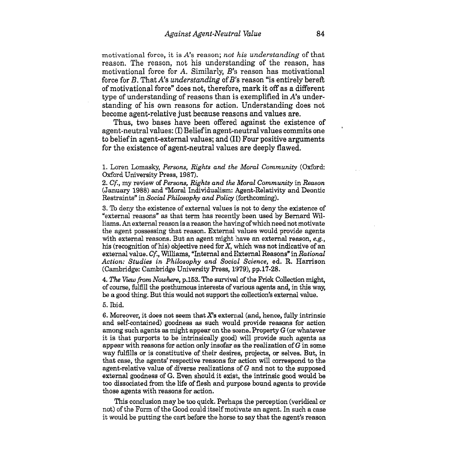motivational force, it is A's reason; *not his understanding* of that reason. The reason, not his understanding of the reason, has motivational force for **A.** Similarly, *B'z;* reason has motivational force for B. That A's *understanding* of B's reason "is entirely bereft of motivational force" does not, therefore, mark it off as a different type of understanding of reasons than is exemplified in **A's** understanding of his own reasons for action. Understanding does not become agent-relative just because reasons and values are.

Thus, two bases have been offered against the existence of agent-neutral values: **(I)** Belief in agent-neutral values commits one to belief in agent-external values; and **(11)** Four positive arguments for the existence of agent-neutral values are deeply flawed.

1. Loren Lomasky, *Persons, Rights and the Moral Community* (Oxford: Oxford University Press, 1987).

2. **Cf.,** my review of *Persons, Rights and the Moral Community* in *Reason*  (January 1988) and "Moral Individualism: Agent-Relativity and Deontic Restraints" in *Social Philosophy and Policy* (forthcoming).

**3.** To deny the existence of external values is not to deny the existence of "external reasons" as that term has recently been used by Bernard Williams. An external reason is areason the having of which need not motivate the agent possessing that reason. External values would provide agents with external reasons. But an agent might have an external reason, *e.g.*, his (recognition of his) objective need for  $X$ , which was not indicative of an external value. *Cf.*, Williams, "Internal and External Reasons" in *Rational Action: Studies in Philosophy and Socia:l Science,* ed. *R.* Harrison (Cambridge: Cambridge University Press, 1979), pp.17-28.

*4. The Viiw from Nowhere,* p.153. The survival of the F'rick Collection might, of course, fulfill the posthumous interests of various agents and, in this way, be a good thing. But this would not support the collection's external value.

5. Ibid.

6. Moreover, it does not seem that  $X$ 's external (and, hence, fully intrinsic and self-contained) goodness as such would provide reasons for action among such agents as might appear on the scene. Property  $G$  (or whatever it is that purports to be intrinsically good) will provide such agents as appear with reasons for action only insofar as the realization of  $G$  in some way fulfills or is constitutive of their desires, projects, or selves. But, in that case, the agents' respective reasons for action will correspond to the agent-relative value of diverse realizations of G and not to the supposed external goodness of G. Even should it exist, the intrinsic good would be too dissociated from the life of flesh and purpose bound agents to provide those agents with reasons for action.

This conclusion may be too quick. Perhaps the perception (veridical or not) of the Form of the Good could itself motivate an agent. In such a case it would be putting the cart before the horse to say that the agent's reason